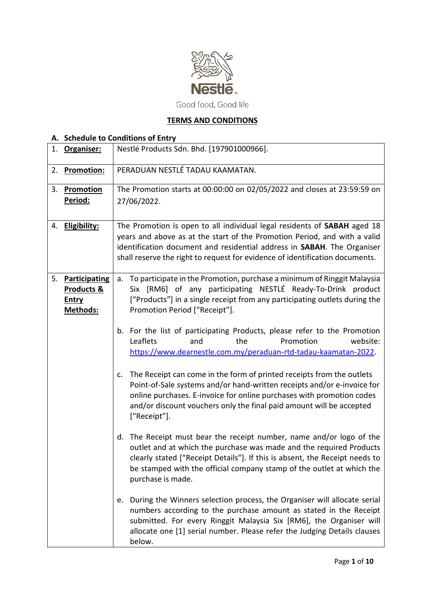

# **TERMS AND CONDITIONS**

|    | A. Schedule to Conditions of Entry |                                                                                                                                                                                                                                                                                                                             |  |  |
|----|------------------------------------|-----------------------------------------------------------------------------------------------------------------------------------------------------------------------------------------------------------------------------------------------------------------------------------------------------------------------------|--|--|
| 1. | Organiser:                         | Nestlé Products Sdn. Bhd. [197901000966].                                                                                                                                                                                                                                                                                   |  |  |
| 2. | <b>Promotion:</b>                  | PERADUAN NESTLÉ TADAU KAAMATAN.                                                                                                                                                                                                                                                                                             |  |  |
| 3. | Promotion                          | The Promotion starts at 00:00:00 on 02/05/2022 and closes at 23:59:59 on                                                                                                                                                                                                                                                    |  |  |
|    | Period:                            | 27/06/2022.                                                                                                                                                                                                                                                                                                                 |  |  |
|    | 4. Eligibility:                    | The Promotion is open to all individual legal residents of SABAH aged 18                                                                                                                                                                                                                                                    |  |  |
|    |                                    | years and above as at the start of the Promotion Period, and with a valid                                                                                                                                                                                                                                                   |  |  |
|    |                                    | identification document and residential address in SABAH. The Organiser                                                                                                                                                                                                                                                     |  |  |
|    |                                    | shall reserve the right to request for evidence of identification documents.                                                                                                                                                                                                                                                |  |  |
| 5. | <b>Participating</b>               | To participate in the Promotion, purchase a minimum of Ringgit Malaysia<br>a.                                                                                                                                                                                                                                               |  |  |
|    | <b>Products &amp;</b>              | Six [RM6] of any participating NESTLÉ Ready-To-Drink product                                                                                                                                                                                                                                                                |  |  |
|    | <b>Entry</b>                       | ["Products"] in a single receipt from any participating outlets during the                                                                                                                                                                                                                                                  |  |  |
|    | Methods:                           | Promotion Period ["Receipt"].                                                                                                                                                                                                                                                                                               |  |  |
|    |                                    |                                                                                                                                                                                                                                                                                                                             |  |  |
|    |                                    | b. For the list of participating Products, please refer to the Promotion                                                                                                                                                                                                                                                    |  |  |
|    |                                    | Leaflets<br>Promotion<br>website:<br>and<br>the                                                                                                                                                                                                                                                                             |  |  |
|    |                                    | https://www.dearnestle.com.my/peraduan-rtd-tadau-kaamatan-2022.                                                                                                                                                                                                                                                             |  |  |
|    |                                    | The Receipt can come in the form of printed receipts from the outlets<br>c.<br>Point-of-Sale systems and/or hand-written receipts and/or e-invoice for<br>online purchases. E-invoice for online purchases with promotion codes<br>and/or discount vouchers only the final paid amount will be accepted<br>["Receipt"].     |  |  |
|    |                                    | The Receipt must bear the receipt number, name and/or logo of the<br>d.<br>outlet and at which the purchase was made and the required Products<br>clearly stated ["Receipt Details"]. If this is absent, the Receipt needs to<br>be stamped with the official company stamp of the outlet at which the<br>purchase is made. |  |  |
|    |                                    | During the Winners selection process, the Organiser will allocate serial<br>e.<br>numbers according to the purchase amount as stated in the Receipt<br>submitted. For every Ringgit Malaysia Six [RM6], the Organiser will<br>allocate one [1] serial number. Please refer the Judging Details clauses<br>below.            |  |  |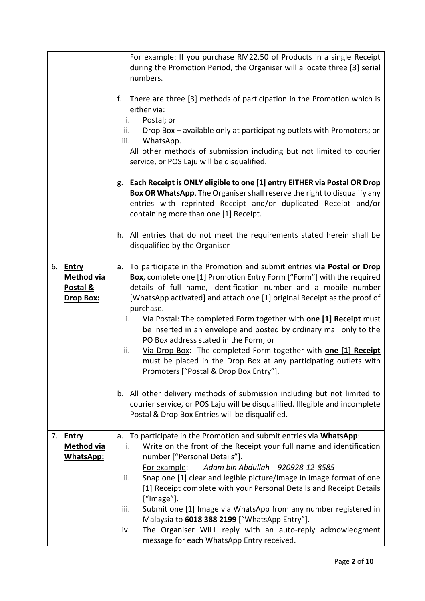|                    | For example: If you purchase RM22.50 of Products in a single Receipt           |
|--------------------|--------------------------------------------------------------------------------|
|                    | during the Promotion Period, the Organiser will allocate three [3] serial      |
|                    | numbers.                                                                       |
|                    |                                                                                |
|                    | There are three [3] methods of participation in the Promotion which is<br>f.   |
|                    | either via:                                                                    |
|                    | Postal; or<br>i.                                                               |
|                    | Drop Box - available only at participating outlets with Promoters; or<br>ii.   |
|                    | WhatsApp.<br>iii.                                                              |
|                    | All other methods of submission including but not limited to courier           |
|                    | service, or POS Laju will be disqualified.                                     |
|                    |                                                                                |
|                    |                                                                                |
|                    | Each Receipt is ONLY eligible to one [1] entry EITHER via Postal OR Drop<br>g. |
|                    | Box OR WhatsApp. The Organiser shall reserve the right to disqualify any       |
|                    | entries with reprinted Receipt and/or duplicated Receipt and/or                |
|                    | containing more than one [1] Receipt.                                          |
|                    | h. All entries that do not meet the requirements stated herein shall be        |
|                    | disqualified by the Organiser                                                  |
|                    |                                                                                |
| 6. Entry           | To participate in the Promotion and submit entries via Postal or Drop<br>a.    |
| <b>Method via</b>  | Box, complete one [1] Promotion Entry Form ["Form"] with the required          |
|                    | details of full name, identification number and a mobile number                |
| Postal &           |                                                                                |
| Drop Box:          | [WhatsApp activated] and attach one [1] original Receipt as the proof of       |
|                    | purchase.                                                                      |
|                    | Via Postal: The completed Form together with <b>one [1] Receipt</b> must<br>i. |
|                    | be inserted in an envelope and posted by ordinary mail only to the             |
|                    | PO Box address stated in the Form; or                                          |
|                    | Via Drop Box: The completed Form together with one [1] Receipt<br>ii.          |
|                    | must be placed in the Drop Box at any participating outlets with               |
|                    | Promoters ["Postal & Drop Box Entry"].                                         |
|                    |                                                                                |
|                    | All other delivery methods of submission including but not limited to<br>b.    |
|                    | courier service, or POS Laju will be disqualified. Illegible and incomplete    |
|                    | Postal & Drop Box Entries will be disqualified.                                |
|                    |                                                                                |
| 7.<br><b>Entry</b> | a. To participate in the Promotion and submit entries via WhatsApp:            |
| <b>Method via</b>  | Write on the front of the Receipt your full name and identification<br>i.      |
| WhatsApp:          | number ["Personal Details"].                                                   |
|                    | For example:<br>Adam bin Abdullah 920928-12-8585                               |
|                    | Snap one [1] clear and legible picture/image in Image format of one<br>ii.     |
|                    | [1] Receipt complete with your Personal Details and Receipt Details            |
|                    | ["Image"].                                                                     |
|                    | Submit one [1] Image via WhatsApp from any number registered in<br>iii.        |
|                    | Malaysia to 6018 388 2199 ["WhatsApp Entry"].                                  |
|                    | The Organiser WILL reply with an auto-reply acknowledgment<br>iv.              |
|                    | message for each WhatsApp Entry received.                                      |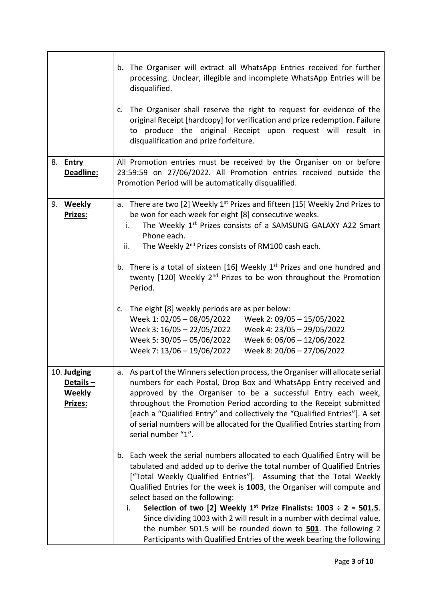|                                                     | The Organiser will extract all WhatsApp Entries received for further<br>b.<br>processing. Unclear, illegible and incomplete WhatsApp Entries will be<br>disqualified.<br>The Organiser shall reserve the right to request for evidence of the<br>c.<br>original Receipt [hardcopy] for verification and prize redemption. Failure<br>to produce the original Receipt upon request will result in<br>disqualification and prize forfeiture.                                                                                                                                                                                                    |
|-----------------------------------------------------|-----------------------------------------------------------------------------------------------------------------------------------------------------------------------------------------------------------------------------------------------------------------------------------------------------------------------------------------------------------------------------------------------------------------------------------------------------------------------------------------------------------------------------------------------------------------------------------------------------------------------------------------------|
|                                                     | All Promotion entries must be received by the Organiser on or before                                                                                                                                                                                                                                                                                                                                                                                                                                                                                                                                                                          |
| 8. <b>Entry</b><br>Deadline:                        | 23:59:59 on 27/06/2022. All Promotion entries received outside the<br>Promotion Period will be automatically disqualified.                                                                                                                                                                                                                                                                                                                                                                                                                                                                                                                    |
| 9. Weekly<br>Prizes:                                | There are two [2] Weekly 1 <sup>st</sup> Prizes and fifteen [15] Weekly 2nd Prizes to<br>a.<br>be won for each week for eight [8] consecutive weeks.<br>The Weekly 1st Prizes consists of a SAMSUNG GALAXY A22 Smart<br>i.<br>Phone each.<br>The Weekly 2 <sup>nd</sup> Prizes consists of RM100 cash each.<br>ii.<br>b. There is a total of sixteen [16] Weekly 1 <sup>st</sup> Prizes and one hundred and<br>twenty [120] Weekly 2 <sup>nd</sup> Prizes to be won throughout the Promotion                                                                                                                                                  |
|                                                     | Period.<br>The eight [8] weekly periods are as per below:<br>c.<br>Week 2: 09/05 - 15/05/2022<br>Week 1: 02/05 - 08/05/2022<br>Week 3: 16/05 - 22/05/2022<br>Week 4: 23/05 - 29/05/2022<br>Week 5: 30/05 - 05/06/2022<br>Week 6: 06/06 - 12/06/2022<br>Week 7: 13/06 - 19/06/2022<br>Week 8: 20/06 - 27/06/2022                                                                                                                                                                                                                                                                                                                               |
| 10. Judging<br>Details-<br><b>Weekly</b><br>Prizes: | As part of the Winners selection process, the Organiser will allocate serial<br>а.<br>numbers for each Postal, Drop Box and WhatsApp Entry received and<br>approved by the Organiser to be a successful Entry each week,<br>throughout the Promotion Period according to the Receipt submitted<br>[each a "Qualified Entry" and collectively the "Qualified Entries"]. A set<br>of serial numbers will be allocated for the Qualified Entries starting from<br>serial number "1".                                                                                                                                                             |
|                                                     | Each week the serial numbers allocated to each Qualified Entry will be<br>b.<br>tabulated and added up to derive the total number of Qualified Entries<br>["Total Weekly Qualified Entries"]. Assuming that the Total Weekly<br>Qualified Entries for the week is 1003, the Organiser will compute and<br>select based on the following:<br>Selection of two [2] Weekly $1^{st}$ Prize Finalists: 1003 ÷ 2 = 501.5.<br>i.<br>Since dividing 1003 with 2 will result in a number with decimal value,<br>the number 501.5 will be rounded down to 501. The following 2<br>Participants with Qualified Entries of the week bearing the following |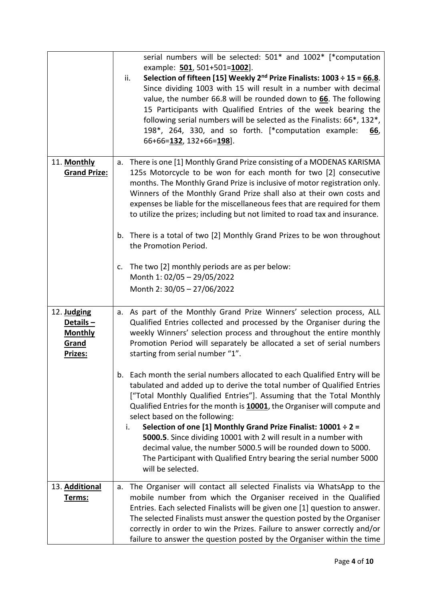|                                                               | serial numbers will be selected: 501* and 1002* [*computation<br>example: 501, 501+501=1002].<br>Selection of fifteen [15] Weekly $2^{nd}$ Prize Finalists: 1003 ÷ 15 = 66.8.<br>ii.<br>Since dividing 1003 with 15 will result in a number with decimal<br>value, the number 66.8 will be rounded down to 66. The following<br>15 Participants with Qualified Entries of the week bearing the<br>following serial numbers will be selected as the Finalists: 66*, 132*,<br>198*, 264, 330, and so forth. [*computation example:<br>66,<br>66+66=132, 132+66=198].                                                                                           |
|---------------------------------------------------------------|--------------------------------------------------------------------------------------------------------------------------------------------------------------------------------------------------------------------------------------------------------------------------------------------------------------------------------------------------------------------------------------------------------------------------------------------------------------------------------------------------------------------------------------------------------------------------------------------------------------------------------------------------------------|
| 11. Monthly<br><b>Grand Prize:</b>                            | a. There is one [1] Monthly Grand Prize consisting of a MODENAS KARISMA<br>125s Motorcycle to be won for each month for two [2] consecutive                                                                                                                                                                                                                                                                                                                                                                                                                                                                                                                  |
|                                                               | months. The Monthly Grand Prize is inclusive of motor registration only.<br>Winners of the Monthly Grand Prize shall also at their own costs and<br>expenses be liable for the miscellaneous fees that are required for them<br>to utilize the prizes; including but not limited to road tax and insurance.                                                                                                                                                                                                                                                                                                                                                  |
|                                                               | There is a total of two [2] Monthly Grand Prizes to be won throughout<br>b.<br>the Promotion Period.                                                                                                                                                                                                                                                                                                                                                                                                                                                                                                                                                         |
|                                                               | The two [2] monthly periods are as per below:<br>c.<br>Month 1: 02/05 - 29/05/2022<br>Month 2: 30/05 - 27/06/2022                                                                                                                                                                                                                                                                                                                                                                                                                                                                                                                                            |
| 12. Judging<br>Details-<br><b>Monthly</b><br>Grand<br>Prizes: | a. As part of the Monthly Grand Prize Winners' selection process, ALL<br>Qualified Entries collected and processed by the Organiser during the<br>weekly Winners' selection process and throughout the entire monthly<br>Promotion Period will separately be allocated a set of serial numbers<br>starting from serial number "1".                                                                                                                                                                                                                                                                                                                           |
|                                                               | Each month the serial numbers allocated to each Qualified Entry will be<br>b.<br>tabulated and added up to derive the total number of Qualified Entries<br>["Total Monthly Qualified Entries"]. Assuming that the Total Monthly<br>Qualified Entries for the month is 10001, the Organiser will compute and<br>select based on the following:<br>Selection of one [1] Monthly Grand Prize Finalist: $10001 \div 2 =$<br>i.<br>5000.5. Since dividing 10001 with 2 will result in a number with<br>decimal value, the number 5000.5 will be rounded down to 5000.<br>The Participant with Qualified Entry bearing the serial number 5000<br>will be selected. |
| 13. Additional<br>Terms:                                      | The Organiser will contact all selected Finalists via WhatsApp to the<br>а.<br>mobile number from which the Organiser received in the Qualified<br>Entries. Each selected Finalists will be given one [1] question to answer.<br>The selected Finalists must answer the question posted by the Organiser<br>correctly in order to win the Prizes. Failure to answer correctly and/or<br>failure to answer the question posted by the Organiser within the time                                                                                                                                                                                               |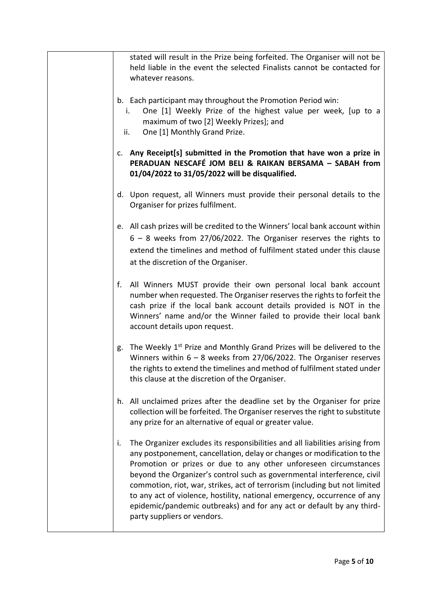| stated will result in the Prize being forfeited. The Organiser will not be<br>held liable in the event the selected Finalists cannot be contacted for<br>whatever reasons.                                                                                                                                                                                                                                                                                                                                                                                                     |
|--------------------------------------------------------------------------------------------------------------------------------------------------------------------------------------------------------------------------------------------------------------------------------------------------------------------------------------------------------------------------------------------------------------------------------------------------------------------------------------------------------------------------------------------------------------------------------|
| b. Each participant may throughout the Promotion Period win:<br>One [1] Weekly Prize of the highest value per week, [up to a<br>i.<br>maximum of two [2] Weekly Prizes]; and<br>One [1] Monthly Grand Prize.<br>ii.                                                                                                                                                                                                                                                                                                                                                            |
| c. Any Receipt[s] submitted in the Promotion that have won a prize in<br>PERADUAN NESCAFÉ JOM BELI & RAIKAN BERSAMA - SABAH from<br>01/04/2022 to 31/05/2022 will be disqualified.                                                                                                                                                                                                                                                                                                                                                                                             |
| d. Upon request, all Winners must provide their personal details to the<br>Organiser for prizes fulfilment.                                                                                                                                                                                                                                                                                                                                                                                                                                                                    |
| e. All cash prizes will be credited to the Winners' local bank account within<br>$6 - 8$ weeks from 27/06/2022. The Organiser reserves the rights to<br>extend the timelines and method of fulfilment stated under this clause<br>at the discretion of the Organiser.                                                                                                                                                                                                                                                                                                          |
| All Winners MUST provide their own personal local bank account<br>f.<br>number when requested. The Organiser reserves the rights to forfeit the<br>cash prize if the local bank account details provided is NOT in the<br>Winners' name and/or the Winner failed to provide their local bank<br>account details upon request.                                                                                                                                                                                                                                                  |
| The Weekly 1 <sup>st</sup> Prize and Monthly Grand Prizes will be delivered to the<br>g.<br>Winners within $6 - 8$ weeks from 27/06/2022. The Organiser reserves<br>the rights to extend the timelines and method of fulfilment stated under<br>this clause at the discretion of the Organiser.                                                                                                                                                                                                                                                                                |
| h. All unclaimed prizes after the deadline set by the Organiser for prize<br>collection will be forfeited. The Organiser reserves the right to substitute<br>any prize for an alternative of equal or greater value.                                                                                                                                                                                                                                                                                                                                                           |
| The Organizer excludes its responsibilities and all liabilities arising from<br>i.<br>any postponement, cancellation, delay or changes or modification to the<br>Promotion or prizes or due to any other unforeseen circumstances<br>beyond the Organizer's control such as governmental interference, civil<br>commotion, riot, war, strikes, act of terrorism (including but not limited<br>to any act of violence, hostility, national emergency, occurrence of any<br>epidemic/pandemic outbreaks) and for any act or default by any third-<br>party suppliers or vendors. |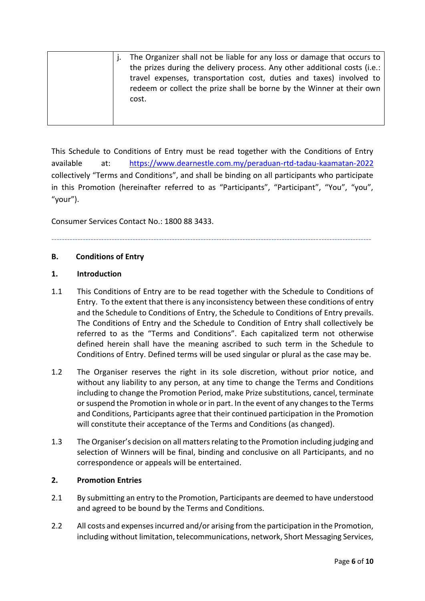|  | The Organizer shall not be liable for any loss or damage that occurs to                                                                      |
|--|----------------------------------------------------------------------------------------------------------------------------------------------|
|  | the prizes during the delivery process. Any other additional costs (i.e.:                                                                    |
|  | travel expenses, transportation cost, duties and taxes) involved to<br>redeem or collect the prize shall be borne by the Winner at their own |
|  | cost.                                                                                                                                        |
|  |                                                                                                                                              |

This Schedule to Conditions of Entry must be read together with the Conditions of Entry available at: <https://www.dearnestle.com.my/peraduan-rtd-tadau-kaamatan-2022> collectively "Terms and Conditions", and shall be binding on all participants who participate in this Promotion (hereinafter referred to as "Participants", "Participant", "You", "you", "your").

Consumer Services Contact No.: 1800 88 3433.

--------------------------------------------------------------------------------------------------------------------------

### **B. Conditions of Entry**

### **1. Introduction**

- 1.1 This Conditions of Entry are to be read together with the Schedule to Conditions of Entry. To the extent that there is any inconsistency between these conditions of entry and the Schedule to Conditions of Entry, the Schedule to Conditions of Entry prevails. The Conditions of Entry and the Schedule to Condition of Entry shall collectively be referred to as the "Terms and Conditions". Each capitalized term not otherwise defined herein shall have the meaning ascribed to such term in the Schedule to Conditions of Entry. Defined terms will be used singular or plural as the case may be.
- 1.2 The Organiser reserves the right in its sole discretion, without prior notice, and without any liability to any person, at any time to change the Terms and Conditions including to change the Promotion Period, make Prize substitutions, cancel, terminate or suspend the Promotion in whole or in part. In the event of any changes to the Terms and Conditions, Participants agree that their continued participation in the Promotion will constitute their acceptance of the Terms and Conditions (as changed).
- 1.3 The Organiser's decision on all matters relating to the Promotion including judging and selection of Winners will be final, binding and conclusive on all Participants, and no correspondence or appeals will be entertained.

## **2. Promotion Entries**

- 2.1 By submitting an entry to the Promotion, Participants are deemed to have understood and agreed to be bound by the Terms and Conditions.
- 2.2 All costs and expenses incurred and/or arising from the participation in the Promotion, including without limitation, telecommunications, network, Short Messaging Services,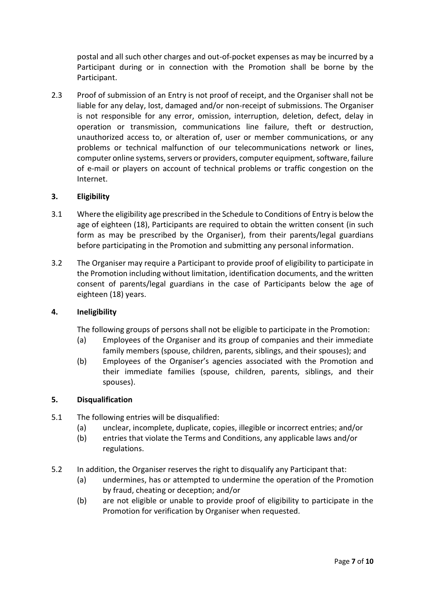postal and all such other charges and out-of-pocket expenses as may be incurred by a Participant during or in connection with the Promotion shall be borne by the Participant.

2.3 Proof of submission of an Entry is not proof of receipt, and the Organiser shall not be liable for any delay, lost, damaged and/or non-receipt of submissions. The Organiser is not responsible for any error, omission, interruption, deletion, defect, delay in operation or transmission, communications line failure, theft or destruction, unauthorized access to, or alteration of, user or member communications, or any problems or technical malfunction of our telecommunications network or lines, computer online systems, servers or providers, computer equipment, software, failure of e-mail or players on account of technical problems or traffic congestion on the Internet.

### **3. Eligibility**

- 3.1 Where the eligibility age prescribed in the Schedule to Conditions of Entry is below the age of eighteen (18), Participants are required to obtain the written consent (in such form as may be prescribed by the Organiser), from their parents/legal guardians before participating in the Promotion and submitting any personal information.
- 3.2 The Organiser may require a Participant to provide proof of eligibility to participate in the Promotion including without limitation, identification documents, and the written consent of parents/legal guardians in the case of Participants below the age of eighteen (18) years.

### **4. Ineligibility**

The following groups of persons shall not be eligible to participate in the Promotion:

- (a) Employees of the Organiser and its group of companies and their immediate family members (spouse, children, parents, siblings, and their spouses); and
- (b) Employees of the Organiser's agencies associated with the Promotion and their immediate families (spouse, children, parents, siblings, and their spouses).

### **5. Disqualification**

- 5.1 The following entries will be disqualified:
	- (a) unclear, incomplete, duplicate, copies, illegible or incorrect entries; and/or
	- (b) entries that violate the Terms and Conditions, any applicable laws and/or regulations.
- 5.2 In addition, the Organiser reserves the right to disqualify any Participant that:
	- (a) undermines, has or attempted to undermine the operation of the Promotion by fraud, cheating or deception; and/or
	- (b) are not eligible or unable to provide proof of eligibility to participate in the Promotion for verification by Organiser when requested.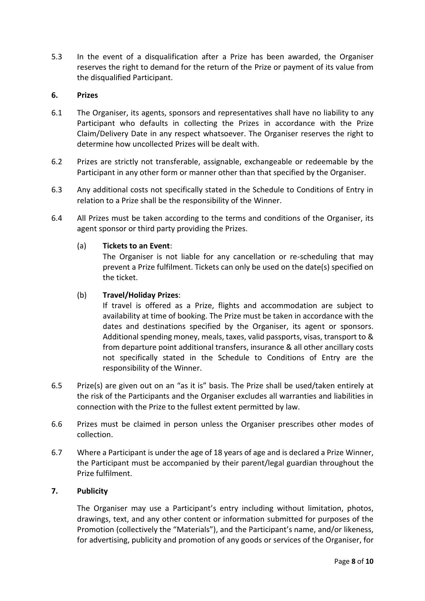5.3 In the event of a disqualification after a Prize has been awarded, the Organiser reserves the right to demand for the return of the Prize or payment of its value from the disqualified Participant.

### **6. Prizes**

- 6.1 The Organiser, its agents, sponsors and representatives shall have no liability to any Participant who defaults in collecting the Prizes in accordance with the Prize Claim/Delivery Date in any respect whatsoever. The Organiser reserves the right to determine how uncollected Prizes will be dealt with.
- 6.2 Prizes are strictly not transferable, assignable, exchangeable or redeemable by the Participant in any other form or manner other than that specified by the Organiser.
- 6.3 Any additional costs not specifically stated in the Schedule to Conditions of Entry in relation to a Prize shall be the responsibility of the Winner.
- 6.4 All Prizes must be taken according to the terms and conditions of the Organiser, its agent sponsor or third party providing the Prizes.

### (a) **Tickets to an Event**:

The Organiser is not liable for any cancellation or re-scheduling that may prevent a Prize fulfilment. Tickets can only be used on the date(s) specified on the ticket.

### (b) **Travel/Holiday Prizes**:

If travel is offered as a Prize, flights and accommodation are subject to availability at time of booking. The Prize must be taken in accordance with the dates and destinations specified by the Organiser, its agent or sponsors. Additional spending money, meals, taxes, valid passports, visas, transport to & from departure point additional transfers, insurance & all other ancillary costs not specifically stated in the Schedule to Conditions of Entry are the responsibility of the Winner.

- 6.5 Prize(s) are given out on an "as it is" basis. The Prize shall be used/taken entirely at the risk of the Participants and the Organiser excludes all warranties and liabilities in connection with the Prize to the fullest extent permitted by law.
- 6.6 Prizes must be claimed in person unless the Organiser prescribes other modes of collection.
- 6.7 Where a Participant is under the age of 18 years of age and is declared a Prize Winner, the Participant must be accompanied by their parent/legal guardian throughout the Prize fulfilment.

### **7. Publicity**

The Organiser may use a Participant's entry including without limitation, photos, drawings, text, and any other content or information submitted for purposes of the Promotion (collectively the "Materials"), and the Participant's name, and/or likeness, for advertising, publicity and promotion of any goods or services of the Organiser, for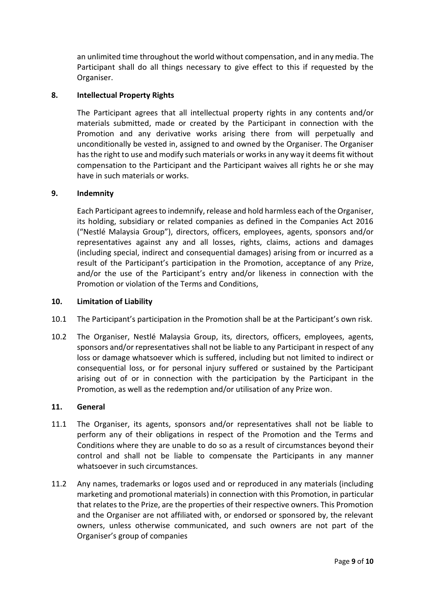an unlimited time throughout the world without compensation, and in any media. The Participant shall do all things necessary to give effect to this if requested by the Organiser.

### **8. Intellectual Property Rights**

The Participant agrees that all intellectual property rights in any contents and/or materials submitted, made or created by the Participant in connection with the Promotion and any derivative works arising there from will perpetually and unconditionally be vested in, assigned to and owned by the Organiser. The Organiser has the right to use and modify such materials or works in any way it deems fit without compensation to the Participant and the Participant waives all rights he or she may have in such materials or works.

### **9. Indemnity**

Each Participant agrees to indemnify, release and hold harmless each of the Organiser, its holding, subsidiary or related companies as defined in the Companies Act 2016 ("Nestlé Malaysia Group"), directors, officers, employees, agents, sponsors and/or representatives against any and all losses, rights, claims, actions and damages (including special, indirect and consequential damages) arising from or incurred as a result of the Participant's participation in the Promotion, acceptance of any Prize, and/or the use of the Participant's entry and/or likeness in connection with the Promotion or violation of the Terms and Conditions,

#### **10. Limitation of Liability**

- 10.1 The Participant's participation in the Promotion shall be at the Participant's own risk.
- 10.2 The Organiser, Nestlé Malaysia Group, its, directors, officers, employees, agents, sponsors and/or representatives shall not be liable to any Participant in respect of any loss or damage whatsoever which is suffered, including but not limited to indirect or consequential loss, or for personal injury suffered or sustained by the Participant arising out of or in connection with the participation by the Participant in the Promotion, as well as the redemption and/or utilisation of any Prize won.

#### **11. General**

- 11.1 The Organiser, its agents, sponsors and/or representatives shall not be liable to perform any of their obligations in respect of the Promotion and the Terms and Conditions where they are unable to do so as a result of circumstances beyond their control and shall not be liable to compensate the Participants in any manner whatsoever in such circumstances.
- 11.2 Any names, trademarks or logos used and or reproduced in any materials (including marketing and promotional materials) in connection with this Promotion, in particular that relates to the Prize, are the properties of their respective owners. This Promotion and the Organiser are not affiliated with, or endorsed or sponsored by, the relevant owners, unless otherwise communicated, and such owners are not part of the Organiser's group of companies